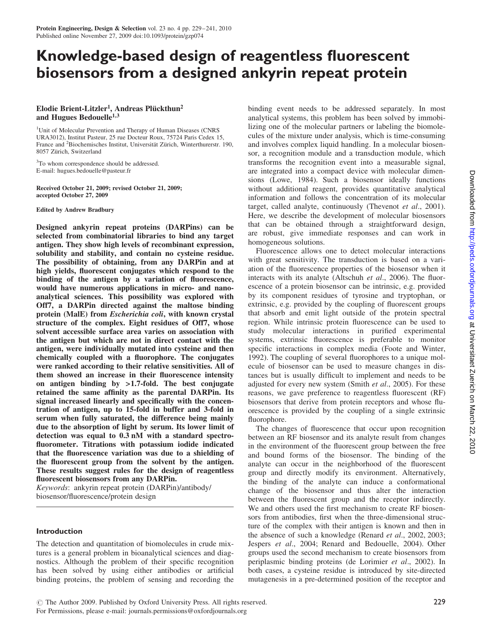# Knowledge-based design of reagentless fluorescent biosensors from a designed ankyrin repeat protein

# Elodie Brient-Litzler<sup>1</sup>, Andreas Plückthun<sup>2</sup> and Hugues Bedouelle<sup>1,3</sup>

<sup>1</sup>Unit of Molecular Prevention and Therapy of Human Diseases (CNRS URA3012), Institut Pasteur, 25 rue Docteur Roux, 75724 Paris Cedex 15, France and <sup>2</sup>Biochemisches Institut, Universität Zürich, Winterthurerstr. 190, 8057 Zürich, Switzerland

<sup>3</sup>To whom correspondence should be addressed. E-mail: hugues.bedouelle@pasteur.fr

Received October 21, 2009; revised October 21, 2009; accepted October 27, 2009

Edited by Andrew Bradbury

Designed ankyrin repeat proteins (DARPins) can be selected from combinatorial libraries to bind any target antigen. They show high levels of recombinant expression, solubility and stability, and contain no cysteine residue. The possibility of obtaining, from any DARPin and at high yields, fluorescent conjugates which respond to the binding of the antigen by a variation of fluorescence, would have numerous applications in micro- and nanoanalytical sciences. This possibility was explored with Off7, a DARPin directed against the maltose binding protein (MalE) from Escherichia coli, with known crystal structure of the complex. Eight residues of Off7, whose solvent accessible surface area varies on association with the antigen but which are not in direct contact with the antigen, were individually mutated into cysteine and then chemically coupled with a fluorophore. The conjugates were ranked according to their relative sensitivities. All of them showed an increase in their fluorescence intensity on antigen binding by >1.7-fold. The best conjugate retained the same affinity as the parental DARPin. Its signal increased linearly and specifically with the concentration of antigen, up to 15-fold in buffer and 3-fold in serum when fully saturated, the difference being mainly due to the absorption of light by serum. Its lower limit of detection was equal to 0.3 nM with a standard spectrofluorometer. Titrations with potassium iodide indicated that the fluorescence variation was due to a shielding of the fluorescent group from the solvent by the antigen. These results suggest rules for the design of reagentless fluorescent biosensors from any DARPin.

Keywords: ankyrin repeat protein (DARPin)/antibody/ biosensor/fluorescence/protein design

# Introduction

The detection and quantitation of biomolecules in crude mixtures is a general problem in bioanalytical sciences and diagnostics. Although the problem of their specific recognition has been solved by using either antibodies or artificial binding proteins, the problem of sensing and recording the

binding event needs to be addressed separately. In most analytical systems, this problem has been solved by immobilizing one of the molecular partners or labeling the biomolecules of the mixture under analysis, which is time-consuming and involves complex liquid handling. In a molecular biosensor, a recognition module and a transduction module, which transforms the recognition event into a measurable signal, are integrated into a compact device with molecular dimensions (Lowe, 1984). Such a biosensor ideally functions without additional reagent, provides quantitative analytical information and follows the concentration of its molecular target, called analyte, continuously (Thevenot et al., 2001). Here, we describe the development of molecular biosensors that can be obtained through a straightforward design, are robust, give immediate responses and can work in homogeneous solutions.

Fluorescence allows one to detect molecular interactions with great sensitivity. The transduction is based on a variation of the fluorescence properties of the biosensor when it interacts with its analyte (Altschuh et al., 2006). The fluorescence of a protein biosensor can be intrinsic, e.g. provided by its component residues of tyrosine and tryptophan, or extrinsic, e.g. provided by the coupling of fluorescent groups that absorb and emit light outside of the protein spectral region. While intrinsic protein fluorescence can be used to study molecular interactions in purified experimental systems, extrinsic fluorescence is preferable to monitor specific interactions in complex media (Foote and Winter, 1992). The coupling of several fluorophores to a unique molecule of biosensor can be used to measure changes in distances but is usually difficult to implement and needs to be adjusted for every new system (Smith et al., 2005). For these reasons, we gave preference to reagentless fluorescent (RF) biosensors that derive from protein receptors and whose fluorescence is provided by the coupling of a single extrinsic fluorophore.

The changes of fluorescence that occur upon recognition between an RF biosensor and its analyte result from changes in the environment of the fluorescent group between the free and bound forms of the biosensor. The binding of the analyte can occur in the neighborhood of the fluorescent group and directly modify its environment. Alternatively, the binding of the analyte can induce a conformational change of the biosensor and thus alter the interaction between the fluorescent group and the receptor indirectly. We and others used the first mechanism to create RF biosensors from antibodies, first when the three-dimensional structure of the complex with their antigen is known and then in the absence of such a knowledge (Renard et al., 2002, 2003; Jespers et al., 2004; Renard and Bedouelle, 2004). Other groups used the second mechanism to create biosensors from periplasmic binding proteins (de Lorimier et al., 2002). In both cases, a cysteine residue is introduced by site-directed mutagenesis in a pre-determined position of the receptor and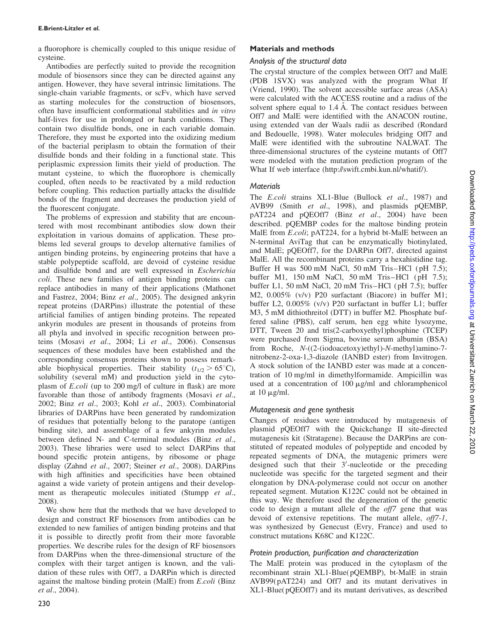a fluorophore is chemically coupled to this unique residue of cysteine.

Antibodies are perfectly suited to provide the recognition module of biosensors since they can be directed against any antigen. However, they have several intrinsic limitations. The single-chain variable fragments, or scFv, which have served as starting molecules for the construction of biosensors, often have insufficient conformational stabilities and in vitro half-lives for use in prolonged or harsh conditions. They contain two disulfide bonds, one in each variable domain. Therefore, they must be exported into the oxidizing medium of the bacterial periplasm to obtain the formation of their disulfide bonds and their folding in a functional state. This periplasmic expression limits their yield of production. The mutant cysteine, to which the fluorophore is chemically coupled, often needs to be reactivated by a mild reduction before coupling. This reduction partially attacks the disulfide bonds of the fragment and decreases the production yield of the fluorescent conjugate.

The problems of expression and stability that are encountered with most recombinant antibodies slow down their exploitation in various domains of application. These problems led several groups to develop alternative families of antigen binding proteins, by engineering proteins that have a stable polypeptide scaffold, are devoid of cysteine residue and disulfide bond and are well expressed in Escherichia coli. These new families of antigen binding proteins can replace antibodies in many of their applications (Mathonet and Fastrez, 2004; Binz et al., 2005). The designed ankyrin repeat proteins (DARPins) illustrate the potential of these artificial families of antigen binding proteins. The repeated ankyrin modules are present in thousands of proteins from all phyla and involved in specific recognition between proteins (Mosavi et al., 2004; Li et al., 2006). Consensus sequences of these modules have been established and the corresponding consensus proteins shown to possess remarkable biophysical properties. Their stability  $(t_{1/2} > 65^{\circ}C)$ , solubility (several mM) and production yield in the cytoplasm of E.coli (up to 200 mg/l of culture in flask) are more favorable than those of antibody fragments (Mosavi et al., 2002; Binz et al., 2003; Kohl et al., 2003). Combinatorial libraries of DARPins have been generated by randomization of residues that potentially belong to the paratope (antigen binding site), and assemblage of a few ankyrin modules between defined N- and C-terminal modules (Binz et al., 2003). These libraries were used to select DARPins that bound specific protein antigens, by ribosome or phage display (Zahnd et al., 2007; Steiner et al., 2008). DARPins with high affinities and specificities have been obtained against a wide variety of protein antigens and their development as therapeutic molecules initiated (Stumpp et al., 2008).

We show here that the methods that we have developed to design and construct RF biosensors from antibodies can be extended to new families of antigen binding proteins and that it is possible to directly profit from their more favorable properties. We describe rules for the design of RF biosensors from DARPins when the three-dimensional structure of the complex with their target antigen is known, and the validation of these rules with Off7, a DARPin which is directed against the maltose binding protein (MalE) from E.coli (Binz et al., 2004).

# Materials and methods

# Analysis of the structural data

The crystal structure of the complex between Off7 and MalE (PDB 1SVX) was analyzed with the program What If (Vriend, 1990). The solvent accessible surface areas (ASA) were calculated with the ACCESS routine and a radius of the solvent sphere equal to  $1.4 \text{ Å}$ . The contact residues between Off7 and MalE were identified with the ANACON routine, using extended van der Waals radii as described (Rondard and Bedouelle, 1998). Water molecules bridging Off7 and MalE were identified with the subroutine NALWAT. The three-dimensional structures of the cysteine mutants of Off7 were modeled with the mutation prediction program of the What If web interface (http://swift.cmbi.kun.nl/whatif/).

# Materials

The *E.coli* strains XL1-Blue (Bullock *et al.*, 1987) and AVB99 (Smith et al., 1998), and plasmids pQEMBP, pAT224 and pQEOff7 (Binz et al., 2004) have been described. pQEMBP codes for the maltose binding protein MalE from *E.coli*; pAT224, for a hybrid bt-MalE between an N-terminal AviTag that can be enzymatically biotinylated, and MalE; pQEOff7, for the DARPin Off7, directed against MalE. All the recombinant proteins carry a hexahistidine tag. Buffer H was 500 mM NaCl, 50 mM Tris–HCl (pH 7.5); buffer M1, 150 mM NaCl, 50 mM Tris–HCl (pH 7.5); buffer L1, 50 mM NaCl, 20 mM Tris–HCl (pH 7.5); buffer M2, 0.005% (v/v) P20 surfactant (Biacore) in buffer M1; buffer L2, 0.005% (v/v) P20 surfactant in buffer L1; buffer M3, 5 mM dithiothreitol (DTT) in buffer M2. Phosphate buffered saline (PBS), calf serum, hen egg white lysozyme, DTT, Tween 20 and tris(2-carboxyethyl)phosphine (TCEP) were purchased from Sigma, bovine serum albumin (BSA) from Roche, N-((2-(iodoacetoxy)ethyl)-N-methyl)amino-7 nitrobenz-2-oxa-1,3-diazole (IANBD ester) from Invitrogen. A stock solution of the IANBD ester was made at a concentration of 10 mg/ml in dimethylformamide. Ampicillin was used at a concentration of  $100 \mu g/ml$  and chloramphenicol at  $10 \mu g/ml$ .

# Mutagenesis and gene synthesis

Changes of residues were introduced by mutagenesis of plasmid pQEOff7 with the Quickchange II site-directed mutagenesis kit (Stratagene). Because the DARPins are constituted of repeated modules of polypeptide and encoded by repeated segments of DNA, the mutagenic primers were designed such that their 3'-nucleotide or the preceding nucleotide was specific for the targeted segment and their elongation by DNA-polymerase could not occur on another repeated segment. Mutation K122C could not be obtained in this way. We therefore used the degeneration of the genetic code to design a mutant allele of the off7 gene that was devoid of extensive repetitions. The mutant allele, *off*7-1, was synthesized by Genecust (Evry, France) and used to construct mutations K68C and K122C.

# Protein production, purification and characterization

The MalE protein was produced in the cytoplasm of the recombinant strain XL1-Blue(pQEMBP), bt-MalE in strain AVB99(pAT224) and Off7 and its mutant derivatives in XL1-Blue(pQEOff7) and its mutant derivatives, as described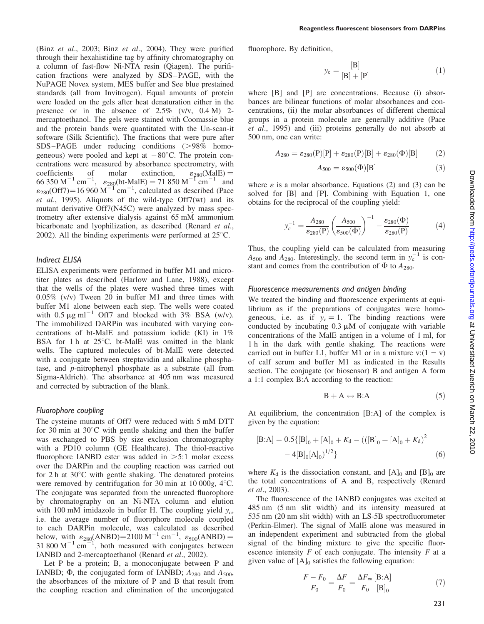(Binz et al., 2003; Binz et al., 2004). They were purified through their hexahistidine tag by affinity chromatography on a column of fast-flow Ni-NTA resin (Qiagen). The purification fractions were analyzed by SDS–PAGE, with the NuPAGE Novex system, MES buffer and See blue prestained standards (all from Invitrogen). Equal amounts of protein were loaded on the gels after heat denaturation either in the presence or in the absence of  $2.5\%$  (v/v,  $0.4 \text{ M}$ ) 2mercaptoethanol. The gels were stained with Coomassie blue and the protein bands were quantitated with the Un-scan-it software (Silk Scientific). The fractions that were pure after  $SDS-PAGE$  under reducing conditions ( $>98\%$  homogeneous) were pooled and kept at  $-80^{\circ}$ C. The protein concentrations were measured by absorbance spectrometry, with coefficients of molar extinction,  $\epsilon_{280}$ (MalE) = 66 350 M<sup>-1</sup> cm<sup>-1</sup>,  $\varepsilon_{280}$ (bt-MalE) = 71 850 M<sup>-1</sup> cm<sup>-1</sup> and  $\varepsilon_{280}$ (Off7)=16 960 M<sup>-1</sup> cm<sup>-1</sup>, calculated as described (Pace et al., 1995). Aliquots of the wild-type Off7(wt) and its mutant derivative Off7(N45C) were analyzed by mass spectrometry after extensive dialysis against 65 mM ammonium bicarbonate and lyophilization, as described (Renard *et al.*, 2002). All the binding experiments were performed at  $25^{\circ}$ C.

### Indirect ELISA

ELISA experiments were performed in buffer M1 and microtiter plates as described (Harlow and Lane, 1988), except that the wells of the plates were washed three times with 0.05% (v/v) Tween 20 in buffer M1 and three times with buffer M1 alone between each step. The wells were coated with  $0.5 \mu g$  ml<sup>-1</sup> Off7 and blocked with 3% BSA (w/v). The immobilized DARPin was incubated with varying concentrations of bt-MalE and potassium iodide (KI) in 1% BSA for 1 h at  $25^{\circ}$ C. bt-MalE was omitted in the blank wells. The captured molecules of bt-MalE were detected with a conjugate between streptavidin and alkaline phosphatase, and p-nitrophenyl phosphate as a substrate (all from Sigma-Aldrich). The absorbance at 405 nm was measured and corrected by subtraction of the blank.

#### Fluorophore coupling

The cysteine mutants of Off7 were reduced with 5 mM DTT for 30 min at  $30^{\circ}$ C with gentle shaking and then the buffer was exchanged to PBS by size exclusion chromatography with a PD10 column (GE Healthcare). The thiol-reactive fluorophore IANBD ester was added in  $>5:1$  molar excess over the DARPin and the coupling reaction was carried out for 2 h at  $30^{\circ}$ C with gentle shaking. The denatured proteins were removed by centrifugation for 30 min at 10 000g,  $4^{\circ}$ C. The conjugate was separated from the unreacted fluorophore by chromatography on an Ni-NTA column and elution with 100 mM imidazole in buffer H. The coupling yield  $y_c$ , i.e. the average number of fluorophore molecule coupled to each DARPin molecule, was calculated as described below, with  $\varepsilon_{280}$ (ANBD)=2100 M<sup>-1</sup> cm<sup>-1</sup>,  $\varepsilon_{500}$ (ANBD) = 31 800  $M^{-1}$  cm<sup>-1</sup>, both measured with conjugates between IANBD and 2-mercaptoethanol (Renard et al., 2002).

Let P be a protein; B, a monoconjugate between P and IANBD;  $\Phi$ , the conjugated form of IANBD;  $A_{280}$  and  $A_{500}$ , the absorbances of the mixture of P and B that result from the coupling reaction and elimination of the unconjugated fluorophore. By definition,

$$
y_c = \frac{[B]}{[B] + [P]}
$$
 (1)

where [B] and [P] are concentrations. Because (i) absorbances are bilinear functions of molar absorbances and concentrations, (ii) the molar absorbances of different chemical groups in a protein molecule are generally additive (Pace et al., 1995) and (iii) proteins generally do not absorb at 500 nm, one can write:

$$
A_{280} = \varepsilon_{280}(P)[P] + \varepsilon_{280}(P)[B] + \varepsilon_{280}(P)[B] \tag{2}
$$

$$
A_{500} = \varepsilon_{500}(\Phi)[\mathbf{B}] \tag{3}
$$

where  $\varepsilon$  is a molar absorbance. Equations (2) and (3) can be solved for [B] and [P]. Combining with Equation 1, one obtains for the reciprocal of the coupling yield:

$$
y_c^{-1} = \frac{A_{280}}{\varepsilon_{280}(P)} \left(\frac{A_{500}}{\varepsilon_{500}(\Phi)}\right)^{-1} - \frac{\varepsilon_{280}(\Phi)}{\varepsilon_{280}(P)}\tag{4}
$$

Thus, the coupling yield can be calculated from measuring  $A_{500}$  and  $A_{280}$ . Interestingly, the second term in  $y_c^{-1}$  is constant and comes from the contribution of  $\Phi$  to  $A_{280}$ .

#### Fluorescence measurements and antigen binding

We treated the binding and fluorescence experiments at equilibrium as if the preparations of conjugates were homogeneous, i.e. as if  $y_c = 1$ . The binding reactions were conducted by incubating  $0.3 \mu M$  of conjugate with variable concentrations of the MalE antigen in a volume of 1 ml, for 1 h in the dark with gentle shaking. The reactions were carried out in buffer L1, buffer M1 or in a mixture v: $(1 - v)$ of calf serum and buffer M1 as indicated in the Results section. The conjugate (or biosensor) B and antigen A form a 1:1 complex B:A according to the reaction:

$$
B + A \leftrightarrow B:A \tag{5}
$$

At equilibrium, the concentration [B:A] of the complex is given by the equation:

$$
[\text{B:A}] = 0.5\{[\text{B}]_0 + [\text{A}]_0 + K_d - (([\text{B}]_0 + [\text{A}]_0 + K_d)^2 - 4[\text{B}]_0[\text{A}]_0)^{1/2}\}\
$$
(6)

where  $K_d$  is the dissociation constant, and  $[A]_0$  and  $[B]_0$  are the total concentrations of A and B, respectively (Renard et al., 2003).

The fluorescence of the IANBD conjugates was excited at 485 nm (5 nm slit width) and its intensity measured at 535 nm (20 nm slit width) with an LS-5B spectrofluorometer (Perkin-Elmer). The signal of MalE alone was measured in an independent experiment and subtracted from the global signal of the binding mixture to give the specific fluorescence intensity  $F$  of each conjugate. The intensity  $F$  at a given value of  $[A]_0$  satisfies the following equation:

$$
\frac{F - F_0}{F_0} = \frac{\Delta F}{F_0} = \frac{\Delta F_{\infty}}{F_0} \frac{[\mathbf{B} : \mathbf{A}]}{[\mathbf{B}]_0} \tag{7}
$$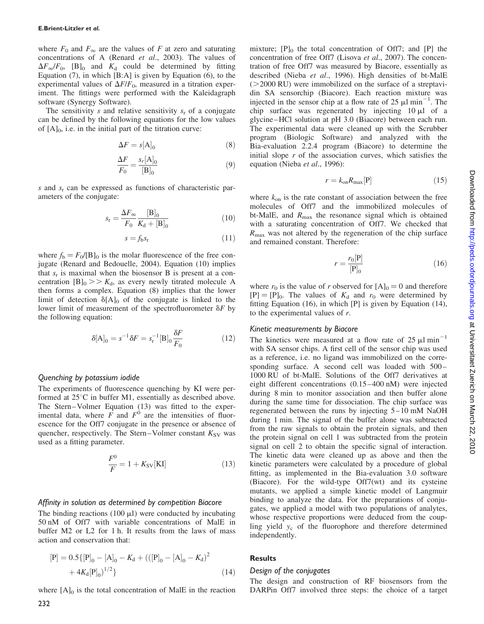where  $F_0$  and  $F_{\infty}$  are the values of F at zero and saturating concentrations of A (Renard et al., 2003). The values of  $\Delta F_{\infty}/F_0$ , [B]<sub>0</sub> and  $K_d$  could be determined by fitting Equation (7), in which [B:A] is given by Equation (6), to the experimental values of  $\Delta F/F_0$ , measured in a titration experiment. The fittings were performed with the Kaleidagraph software (Synergy Software).

The sensitivity s and relative sensitivity  $s_r$  of a conjugate can be defined by the following equations for the low values of  $[A]_0$ , i.e. in the initial part of the titration curve:

$$
\Delta F = s[\mathbf{A}]_0 \tag{8}
$$

$$
\frac{\Delta F}{F_0} = \frac{s_r[\mathbf{A}]_0}{[\mathbf{B}]_0} \tag{9}
$$

s and  $s_r$  can be expressed as functions of characteristic parameters of the conjugate:

$$
s_{\rm r} = \frac{\Delta F_{\infty}}{F_0} \frac{[\text{B}]_0}{K_0 + [\text{B}]_0} \tag{10}
$$

$$
s = f_{\rm b} s_{\rm r} \tag{11}
$$

where  $f_b = F_0/[\text{B}]_0$  is the molar fluorescence of the free conjugate (Renard and Bedouelle, 2004). Equation (10) implies that  $s_r$  is maximal when the biosensor B is present at a concentration  $[B]_0 >> K_d$ , as every newly titrated molecule A then forms a complex. Equation (8) implies that the lower limit of detection  $\delta[A]_0$  of the conjugate is linked to the lower limit of measurement of the spectrofluorometer  $\delta F$  by the following equation:

$$
\delta[\mathbf{A}]_0 = s^{-1} \delta F = s_\mathbf{r}^{-1} [\mathbf{B}]_0 \frac{\delta F}{F_0}
$$
 (12)

### Quenching by potassium iodide

The experiments of fluorescence quenching by KI were performed at  $25^{\circ}$ C in buffer M1, essentially as described above. The Stern–Volmer Equation (13) was fitted to the experimental data, where  $\overrightarrow{F}$  and  $\overrightarrow{F}$  are the intensities of fluorescence for the Off7 conjugate in the presence or absence of quencher, respectively. The Stern–Volmer constant  $K_{SV}$  was used as a fitting parameter.

$$
\frac{F^0}{F} = 1 + K_{SV}[KI]
$$
 (13)

### Affinity in solution as determined by competition Biacore

The binding reactions (100  $\mu$ I) were conducted by incubating 50 nM of Off7 with variable concentrations of MalE in buffer M2 or L2 for 1 h. It results from the laws of mass action and conservation that:

$$
[P] = 0.5\{ [P]_0 - [A]_0 - K_d + (([P]_0 - [A]_0 - K_d)^2
$$
  
+ 4K\_d[P]\_0<sup>1/2</sup> (14)

where  $[A]_0$  is the total concentration of MalE in the reaction

mixture;  $[P]_0$  the total concentration of Off7; and  $[P]$  the concentration of free Off7 (Lisova et al., 2007). The concentration of free Off7 was measured by Biacore, essentially as described (Nieba et al., 1996). High densities of bt-MalE  $(>=2000$  RU) were immobilized on the surface of a streptavidin SA sensorchip (Biacore). Each reaction mixture was injected in the sensor chip at a flow rate of  $25 \mu l \text{ min}^{-1}$ . The chip surface was regenerated by injecting  $10 \mu l$  of a glycine–HCl solution at pH 3.0 (Biacore) between each run. The experimental data were cleaned up with the Scrubber program (Biologic Software) and analyzed with the Bia-evaluation 2.2.4 program (Biacore) to determine the initial slope  $r$  of the association curves, which satisfies the equation (Nieba et al., 1996):

$$
r = k_{\text{on}} R_{\text{max}}[\mathbf{P}] \tag{15}
$$

where  $k_{on}$  is the rate constant of association between the free molecules of Off7 and the immobilized molecules of bt-MalE, and  $R_{\text{max}}$  the resonance signal which is obtained with a saturating concentration of Off7. We checked that  $R_{\text{max}}$  was not altered by the regeneration of the chip surface and remained constant. Therefore:

$$
r = \frac{r_0[\mathbf{P}]}{[\mathbf{P}]_0} \tag{16}
$$

where  $r_0$  is the value of r observed for  $[A]_0 = 0$  and therefore  $[P] = [P]_0$ . The values of  $K_d$  and  $r_0$  were determined by fitting Equation (16), in which [P] is given by Equation (14), to the experimental values of  $r$ .

### Kinetic measurements by Biacore

The kinetics were measured at a flow rate of 25  $\mu$ l min<sup>-1</sup> with SA sensor chips. A first cell of the sensor chip was used as a reference, i.e. no ligand was immobilized on the corresponding surface. A second cell was loaded with 500– 1000 RU of bt-MalE. Solutions of the Off7 derivatives at eight different concentrations (0.15–400 nM) were injected during 8 min to monitor association and then buffer alone during the same time for dissociation. The chip surface was regenerated between the runs by injecting 5–10 mM NaOH during 1 min. The signal of the buffer alone was subtracted from the raw signals to obtain the protein signals, and then the protein signal on cell 1 was subtracted from the protein signal on cell 2 to obtain the specific signal of interaction. The kinetic data were cleaned up as above and then the kinetic parameters were calculated by a procedure of global fitting, as implemented in the Bia-evaluation 3.0 software (Biacore). For the wild-type Off7(wt) and its cysteine mutants, we applied a simple kinetic model of Langmuir binding to analyze the data. For the preparations of conjugates, we applied a model with two populations of analytes, whose respective proportions were deduced from the coupling yield  $y_c$  of the fluorophore and therefore determined independently.

# **Results**

# Design of the conjugates

The design and construction of RF biosensors from the DARPin Off7 involved three steps: the choice of a target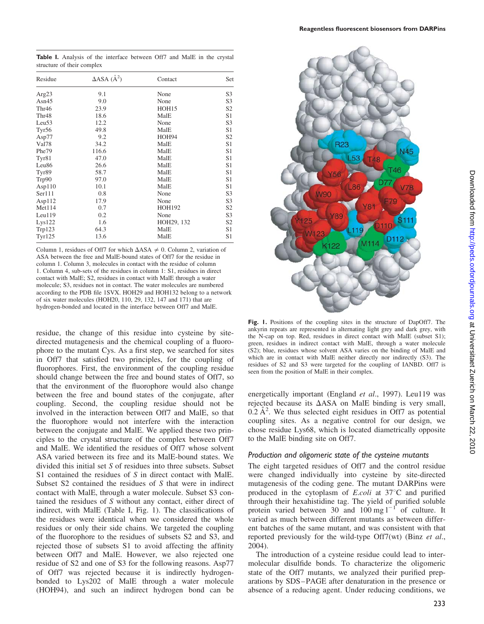Table I. Analysis of the interface between Off7 and MalE in the crystal structure of their complex

| Residue           | $\triangle$ ASA ( $\AA$ <sup>2</sup> ) | Contact       | Set            |  |
|-------------------|----------------------------------------|---------------|----------------|--|
| Arg23             | 9.1                                    | None          | S <sub>3</sub> |  |
| Asn $45$          | 9.0                                    | None          | S <sub>3</sub> |  |
| Thr <sub>46</sub> | 23.9                                   | HOH15         | S2             |  |
| Thr <sub>48</sub> | 18.6                                   | MalE          | S1             |  |
| Leu <sub>53</sub> | 12.2                                   | None          | S <sub>3</sub> |  |
| Tyr56             | 49.8                                   | MalE          | S <sub>1</sub> |  |
| Asp77             | 9.2                                    | HOH94         | S <sub>2</sub> |  |
| Val78             | 34.2                                   | MalE          | S1             |  |
| Phe79             | 116.6                                  | MalE          | S1             |  |
| Tyr81             | 47.0                                   | MalE          | S1             |  |
| Leu <sub>86</sub> | 26.6                                   | MalE          | S <sub>1</sub> |  |
| Tyr89             | 58.7                                   | MalE          | S1             |  |
| Trp90             | 97.0                                   | MalE          | S1             |  |
| Asp110            | 10.1                                   | MalE          | S1             |  |
| Ser111            | 0.8                                    | None          | S3             |  |
| Asp112            | 17.9                                   | None          | S3             |  |
| Met114            | 0.7                                    | <b>HOH192</b> | S2             |  |
| Leu119            | 0.2                                    | None          | S3             |  |
| Lys122            | 1.6                                    | HOH29, 132    | S <sub>2</sub> |  |
| Trp123            | 64.3                                   | MalE          | S1             |  |
| <b>Tyr125</b>     | 13.6                                   | MalE          | S1             |  |

Column 1, residues of Off7 for which  $\Delta$ ASA  $\neq$  0. Column 2, variation of ASA between the free and MalE-bound states of Off7 for the residue in column 1. Column 3, molecules in contact with the residue of column 1. Column 4, sub-sets of the residues in column 1: S1, residues in direct contact with MalE; S2, residues in contact with MalE through a water molecule; S3, residues not in contact. The water molecules are numbered according to the PDB file 1SVX. HOH29 and HOH132 belong to a network of six water molecules (HOH20, 110, 29, 132, 147 and 171) that are hydrogen-bonded and located in the interface between Off7 and MalE.

residue, the change of this residue into cysteine by sitedirected mutagenesis and the chemical coupling of a fluorophore to the mutant Cys. As a first step, we searched for sites in Off7 that satisfied two principles, for the coupling of fluorophores. First, the environment of the coupling residue should change between the free and bound states of Off7, so that the environment of the fluorophore would also change between the free and bound states of the conjugate, after coupling. Second, the coupling residue should not be involved in the interaction between Off7 and MalE, so that the fluorophore would not interfere with the interaction between the conjugate and MalE. We applied these two principles to the crystal structure of the complex between Off7 and MalE. We identified the residues of Off7 whose solvent ASA varied between its free and its MalE-bound states. We divided this initial set S of residues into three subsets. Subset S1 contained the residues of S in direct contact with MalE. Subset S2 contained the residues of S that were in indirect contact with MalE, through a water molecule. Subset S3 contained the residues of S without any contact, either direct of indirect, with MalE (Table I, Fig. 1). The classifications of the residues were identical when we considered the whole residues or only their side chains. We targeted the coupling of the fluorophore to the residues of subsets S2 and S3, and rejected those of subsets S1 to avoid affecting the affinity between Off7 and MalE. However, we also rejected one residue of S2 and one of S3 for the following reasons. Asp77 of Off7 was rejected because it is indirectly hydrogenbonded to Lys202 of MalE through a water molecule (HOH94), and such an indirect hydrogen bond can be



Fig. 1. Positions of the coupling sites in the structure of DapOff7. The ankyrin repeats are represented in alternating light grey and dark grey, with the N-cap on top. Red, residues in direct contact with MalE (subset S1); green, residues in indirect contact with MalE, through a water molecule (S2); blue, residues whose solvent ASA varies on the binding of MalE and which are in contact with MalE neither directly nor indirectly (S3). The residues of S2 and S3 were targeted for the coupling of IANBD. Off7 is seen from the position of MalE in their complex.

energetically important (England et al., 1997). Leu119 was rejected because its  $\Delta$ ASA on MalE binding is very small,  $0.2$  Å<sup>2</sup>. We thus selected eight residues in Off7 as potential coupling sites. As a negative control for our design, we chose residue Lys68, which is located diametrically opposite to the MalE binding site on Off7.

## Production and oligomeric state of the cysteine mutants

The eight targeted residues of Off7 and the control residue were changed individually into cysteine by site-directed mutagenesis of the coding gene. The mutant DARPins were produced in the cytoplasm of *E.coli* at  $37^{\circ}$ C and purified through their hexahistidine tag. The yield of purified soluble protein varied between 30 and 100 mg  $1^{-1}$  of culture. It varied as much between different mutants as between different batches of the same mutant, and was consistent with that reported previously for the wild-type Off7(wt) (Binz et al., 2004).

The introduction of a cysteine residue could lead to intermolecular disulfide bonds. To characterize the oligomeric state of the Off7 mutants, we analyzed their purified preparations by SDS–PAGE after denaturation in the presence or absence of a reducing agent. Under reducing conditions, we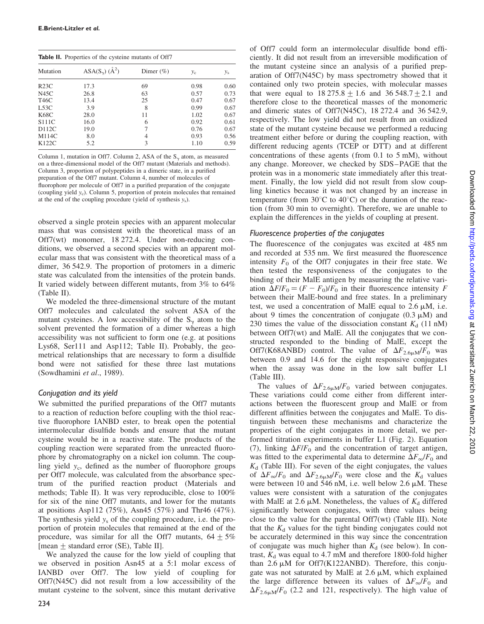| <b>Table II.</b> Properties of the cysteine mutants of Off7 |                                 |               |       |         |  |  |
|-------------------------------------------------------------|---------------------------------|---------------|-------|---------|--|--|
| Mutation                                                    | ASA( $S_{\gamma}$ ) ( $\AA^2$ ) | Dimer $(\% )$ | $y_c$ | $y_{s}$ |  |  |
| R <sub>23C</sub>                                            | 17.3                            | 69            | 0.98  | 0.60    |  |  |
| N45C                                                        | 26.8                            | 63            | 0.57  | 0.73    |  |  |
| T46C                                                        | 13.4                            | 25            | 0.47  | 0.67    |  |  |
| <b>L53C</b>                                                 | 3.9                             | 8             | 0.99  | 0.67    |  |  |
| K68C                                                        | 28.0                            | 11            | 1.02  | 0.67    |  |  |
| S <sub>111</sub> C                                          | 16.0                            | 6             | 0.92  | 0.61    |  |  |
| D112C                                                       | 19.0                            | 7             | 0.76  | 0.67    |  |  |
| M114C                                                       | 8.0                             | 4             | 0.93  | 0.56    |  |  |
| K122C                                                       | 5.2                             | 3             | 1.10  | 0.59    |  |  |

Column 1, mutation in Off7. Column 2, ASA of the  $S_y$  atom, as measured on a three-dimensional model of the Off7 mutant (Materials and methods). Column 3, proportion of polypeptides in a dimeric state, in a purified preparation of the Off7 mutant. Column 4, number of molecules of fluorophore per molecule of Off7 in a purified preparation of the conjugate (coupling yield yc). Column 5, proportion of protein molecules that remained at the end of the coupling procedure (yield of synthesis  $y_s$ ).

observed a single protein species with an apparent molecular mass that was consistent with the theoretical mass of an Off7(wt) monomer, 18 272.4. Under non-reducing conditions, we observed a second species with an apparent molecular mass that was consistent with the theoretical mass of a dimer, 36 542.9. The proportion of protomers in a dimeric state was calculated from the intensities of the protein bands. It varied widely between different mutants, from 3% to 64% (Table II).

We modeled the three-dimensional structure of the mutant Off7 molecules and calculated the solvent ASA of the mutant cysteines. A low accessibility of the  $S_{\gamma}$  atom to the solvent prevented the formation of a dimer whereas a high accessibility was not sufficient to form one (e.g. at positions Lys68, Ser111 and Asp112; Table II). Probably, the geometrical relationships that are necessary to form a disulfide bond were not satisfied for these three last mutations (Sowdhamini et al., 1989).

# Conjugation and its yield

We submitted the purified preparations of the Off7 mutants to a reaction of reduction before coupling with the thiol reactive fluorophore IANBD ester, to break open the potential intermolecular disulfide bonds and ensure that the mutant cysteine would be in a reactive state. The products of the coupling reaction were separated from the unreacted fluorophore by chromatography on a nickel ion column. The coupling yield  $y_c$ , defined as the number of fluorophore groups per Off7 molecule, was calculated from the absorbance spectrum of the purified reaction product (Materials and methods; Table II). It was very reproducible, close to 100% for six of the nine Off7 mutants, and lower for the mutants at positions Asp112 (75%), Asn45 (57%) and Thr46 (47%). The synthesis yield  $y_s$  of the coupling procedure, i.e. the proportion of protein molecules that remained at the end of the procedure, was similar for all the Off7 mutants,  $64 \pm 5\%$ [mean  $\pm$  standard error (SE), Table II].

We analyzed the cause for the low yield of coupling that we observed in position Asn45 at a 5:1 molar excess of IANBD over Off7. The low yield of coupling for Off7(N45C) did not result from a low accessibility of the mutant cysteine to the solvent, since this mutant derivative

of Off7 could form an intermolecular disulfide bond efficiently. It did not result from an irreversible modification of the mutant cysteine since an analysis of a purified preparation of Off7(N45C) by mass spectrometry showed that it contained only two protein species, with molecular masses that were equal to  $18\,275.8 + 1.6$  and  $36\,548.7 + 2.1$  and therefore close to the theoretical masses of the monomeric and dimeric states of Off7(N45C), 18 272.4 and 36 542.9, respectively. The low yield did not result from an oxidized state of the mutant cysteine because we performed a reducing treatment either before or during the coupling reaction, with different reducing agents (TCEP or DTT) and at different concentrations of these agents (from 0.1 to 5 mM), without any change. Moreover, we checked by SDS–PAGE that the protein was in a monomeric state immediately after this treatment. Finally, the low yield did not result from slow coupling kinetics because it was not changed by an increase in temperature (from  $30^{\circ}$ C to  $40^{\circ}$ C) or the duration of the reaction (from 30 min to overnight). Therefore, we are unable to explain the differences in the yields of coupling at present.

# Fluorescence properties of the conjugates

The fluorescence of the conjugates was excited at 485 nm and recorded at 535 nm. We first measured the fluorescence intensity  $F_0$  of the Off7 conjugates in their free state. We then tested the responsiveness of the conjugates to the binding of their MalE antigen by measuring the relative variation  $\Delta F/F_0 = (F - F_0)/F_0$  in their fluorescence intensity F between their MalE-bound and free states. In a preliminary test, we used a concentration of MalE equal to  $2.6 \mu M$ , i.e. about 9 times the concentration of conjugate  $(0.3 \mu M)$  and 230 times the value of the dissociation constant  $K_d$  (11 nM) between Off7(wt) and MalE. All the conjugates that we constructed responded to the binding of MalE, except the Off7(K68ANBD) control. The value of  $\Delta F_{2.6 \mu\text{m}}/F_0$  was between 0.9 and 14.6 for the eight responsive conjugates when the assay was done in the low salt buffer L1 (Table III).

The values of  $\Delta F_{2.6\mu\text{M}}/F_0$  varied between conjugates. These variations could come either from different interactions between the fluorescent group and MalE or from different affinities between the conjugates and MalE. To distinguish between these mechanisms and characterize the properties of the eight conjugates in more detail, we performed titration experiments in buffer L1 (Fig. 2). Equation (7), linking  $\Delta F/F_0$  and the concentration of target antigen, was fitted to the experimental data to determine  $\Delta F_{\infty}/F_0$  and  $K_d$  (Table III). For seven of the eight conjugates, the values of  $\Delta F_{\infty}/F_0$  and  $\Delta F_{2.6\mu\text{m}}/F_0$  were close and the  $K_d$  values were between 10 and 546 nM, i.e. well below 2.6  $\mu$ M. These values were consistent with a saturation of the conjugates with MalE at 2.6  $\mu$ M. Nonetheless, the values of  $K_d$  differed significantly between conjugates, with three values being close to the value for the parental Off7(wt) (Table III). Note that the  $K_d$  values for the tight binding conjugates could not be accurately determined in this way since the concentration of conjugate was much higher than  $K_d$  (see below). In contrast,  $K_d$  was equal to 4.7 mM and therefore 1800-fold higher than  $2.6 \mu M$  for Off7(K122ANBD). Therefore, this conjugate was not saturated by MalE at  $2.6 \mu M$ , which explained the large difference between its values of  $\Delta F_{\infty}/F_0$  and  $\Delta F_{2.6 \text{mM}}/F_0$  (2.2 and 121, respectively). The high value of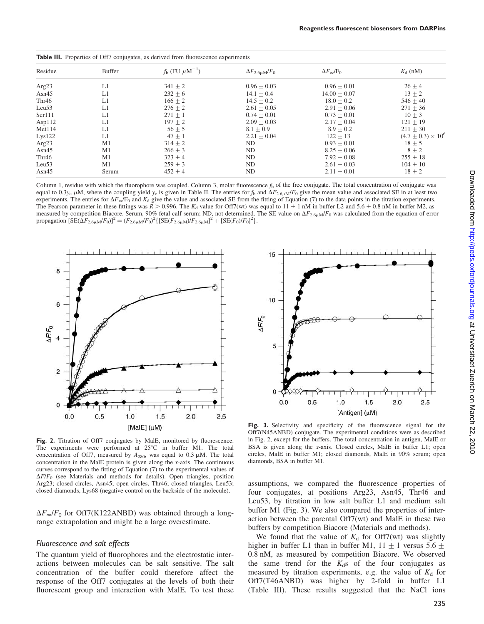| Residue           | Buffer | $f_{\rm b}$ (FU $\mu$ M <sup>-1</sup> ) | $\Delta F_{2.6\mu\text{M}}/F_0$ | $\Delta F_{\infty}/F_0$ | $K_{d}$ (nM)                |
|-------------------|--------|-----------------------------------------|---------------------------------|-------------------------|-----------------------------|
| Arg23             | L1     | $341 + 2$                               | $0.96 + 0.03$                   | $0.96 + 0.01$           | $26 + 4$                    |
| Asn $45$          | L1     | $232 + 6$                               | $14.1 + 0.4$                    | $14.00 \pm 0.07$        | $13 + 2$                    |
| Thr <sub>46</sub> | L1     | $166 + 2$                               | $14.5 + 0.2$                    | $18.0 + 0.2$            | $546 + 40$                  |
| Leu53             | L1     | $276 + 2$                               | $2.61 + 0.05$                   | $2.91 + 0.06$           | $271 + 36$                  |
| Ser111            | L1     | $271 + 1$                               | $0.74 + 0.01$                   | $0.73 + 0.01$           | $10 + 3$                    |
| Asp112            | L1     | $197 \pm 2$                             | $2.09 + 0.03$                   | $2.17 \pm 0.04$         | $121 \pm 19$                |
| Met114            | L1     | $56 + 5$                                | $8.1 + 0.9$                     | $8.9 \pm 0.2$           | $211 + 30$                  |
| Lys122            | L1     | $47 + 1$                                | $2.21 + 0.04$                   | $122 + 13$              | $(4.7 \pm 0.3) \times 10^6$ |
| Arg23             | M1     | $314 + 2$                               | ND                              | $0.93 + 0.01$           | $18 + 5$                    |
| Asn $45$          | M1     | $266 + 3$                               | ND                              | $8.25 \pm 0.06$         | $8 + 2$                     |
| Thr <sub>46</sub> | M1     | $323 + 4$                               | ND                              | $7.92 \pm 0.08$         | $255 + 18$                  |
| Leu53             | M1     | $259 + 3$                               | ND                              | $2.61 + 0.03$           | $104 + 10$                  |
| Asn $45$          | Serum  | $452 + 4$                               | ND.                             | $2.11 + 0.01$           | $18 \pm 2$                  |

Table III. Properties of Off7 conjugates, as derived from fluorescence

Column 1, residue with which the fluorophore was coupled. Column 3, molar fluorescence  $f<sub>b</sub>$  of the free conjugate. The total concentration of conjugate was equal to 0.3y<sub>c</sub>  $\mu$ M, where the coupling yield y<sub>c</sub> is given in Table II. The entries for f<sub>b</sub> and  $\Delta F_{2.6\mu\text{m}}/F_0$  give the mean value and associated SE in at least two experiments. The entries for  $\Delta F_{\infty}/F_0$  and  $K_d$  give the value and associated SE from the fitting of Equation (7) to the data points in the titration experiments. The Pearson parameter in these fittings was  $R > 0.996$ . The K<sub>d</sub> value for Off7(wt) was equal to  $11 + 1$  nM in buffer L2 and 5.6  $\pm$ 0.8 nM in buffer M2, as measured by competition Biacore. Serum, 90% fetal calf serum; ND, not determined. The SE value on  $\Delta F_{2.6\mu\text{m}}/F_0$  was calculated from the equation of error propagation  $[SE(\Delta F_{2.6\mu\text{M}}/F_0)]^2 = (F_{2.6\mu\text{M}}/F_0)^2 \{[SE(F_{2.6\mu\text{M}})/F_{2.6\mu\text{M}}]^2 + [SE(F_0)/F_0]^2\}.$ 



15 10 **AFIF<sub>0</sub>** 5  $\Omega$  $0.0$  $0.5$  $1.0$  $1.5$  $2.0$  $2.5$ [Antigen] (µM)

Fig. 2. Titration of Off7 conjugates by MalE, monitored by fluorescence. The experiments were performed at  $25^{\circ}$ C in buffer M1. The total concentration of Off7, measured by  $A_{280}$ , was equal to 0.3  $\mu$ M. The total concentration in the MalE protein is given along the x-axis. The continuous curves correspond to the fitting of Equation (7) to the experimental values of  $\Delta F/F_0$  (see Materials and methods for details). Open triangles, position Arg23; closed circles, Asn45; open circles, Thr46; closed triangles, Leu53; closed diamonds, Lys68 (negative control on the backside of the molecule).

 $\Delta F_{\infty}/F_0$  for Off7(K122ANBD) was obtained through a longrange extrapolation and might be a large overestimate.

#### Fluorescence and salt effects

The quantum yield of fluorophores and the electrostatic interactions between molecules can be salt sensitive. The salt concentration of the buffer could therefore affect the response of the Off7 conjugates at the levels of both their fluorescent group and interaction with MalE. To test these

Fig. 3. Selectivity and specificity of the fluorescence signal for the Off7(N45ANBD) conjugate. The experimental conditions were as described in Fig. 2, except for the buffers. The total concentration in antigen, MalE or BSA is given along the x-axis. Closed circles, MalE in buffer L1; open circles, MalE in buffer M1; closed diamonds, MalE in 90% serum; open diamonds, BSA in buffer M1.

assumptions, we compared the fluorescence properties of four conjugates, at positions Arg23, Asn45, Thr46 and Leu53, by titration in low salt buffer L1 and medium salt buffer M1 (Fig. 3). We also compared the properties of interaction between the parental Off7(wt) and MalE in these two buffers by competition Biacore (Materials and methods).

We found that the value of  $K_d$  for Off7(wt) was slightly higher in buffer L1 than in buffer M1,  $11 \pm 1$  versus 5.6  $\pm$ 0.8 nM, as measured by competition Biacore. We observed the same trend for the  $K_d$ s of the four conjugates as measured by titration experiments, e.g. the value of  $K_d$  for Off7(T46ANBD) was higher by 2-fold in buffer L1 (Table III). These results suggested that the NaCl ions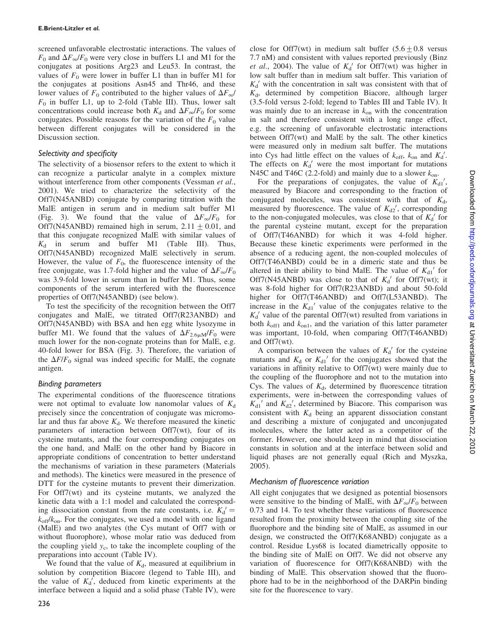screened unfavorable electrostatic interactions. The values of  $F_0$  and  $\Delta F_{\infty}/F_0$  were very close in buffers L1 and M1 for the conjugates at positions Arg23 and Leu53. In contrast, the values of  $F_0$  were lower in buffer L1 than in buffer M1 for the conjugates at positions Asn45 and Thr46, and these lower values of  $F_0$  contributed to the higher values of  $\Delta F_{\infty}$ /  $F_0$  in buffer L1, up to 2-fold (Table III). Thus, lower salt concentrations could increase both  $K_d$  and  $\Delta F_\infty/F_0$  for some conjugates. Possible reasons for the variation of the  $F_0$  value between different conjugates will be considered in the Discussion section.

# Selectivity and specificity

The selectivity of a biosensor refers to the extent to which it can recognize a particular analyte in a complex mixture without interference from other components (Vessman et al., 2001). We tried to characterize the selectivity of the Off7(N45ANBD) conjugate by comparing titration with the MalE antigen in serum and in medium salt buffer M1 (Fig. 3). We found that the value of  $\Delta F_{\infty}/F_0$  for Off7(N45ANBD) remained high in serum,  $2.11 + 0.01$ , and that this conjugate recognized MalE with similar values of  $K_d$  in serum and buffer M1 (Table III). Thus, Off7(N45ANBD) recognized MalE selectively in serum. However, the value of  $F_0$ , the fluorescence intensity of the free conjugate, was 1.7-fold higher and the value of  $\Delta F_{\infty}/F_0$ was 3.9-fold lower in serum than in buffer M1. Thus, some components of the serum interfered with the fluorescence properties of Off7(N45ANBD) (see below).

To test the specificity of the recognition between the Off7 conjugates and MalE, we titrated Off7(R23ANBD) and Off7(N45ANBD) with BSA and hen egg white lysozyme in buffer M1. We found that the values of  $\Delta F_{2.6\mu\text{m}}/F_0$  were much lower for the non-cognate proteins than for MalE, e.g. 40-fold lower for BSA (Fig. 3). Therefore, the variation of the  $\Delta F/F_0$  signal was indeed specific for MalE, the cognate antigen.

# Binding parameters

The experimental conditions of the fluorescence titrations were not optimal to evaluate low nanomolar values of  $K_d$ precisely since the concentration of conjugate was micromolar and thus far above  $K_d$ . We therefore measured the kinetic parameters of interaction between Off7(wt), four of its cysteine mutants, and the four corresponding conjugates on the one hand, and MalE on the other hand by Biacore in appropriate conditions of concentration to better understand the mechanisms of variation in these parameters (Materials and methods). The kinetics were measured in the presence of DTT for the cysteine mutants to prevent their dimerization. For Off7(wt) and its cysteine mutants, we analyzed the kinetic data with a 1:1 model and calculated the corresponding dissociation constant from the rate constants, i.e.  $K_d' =$  $k_{off}/k_{on}$ . For the conjugates, we used a model with one ligand (MalE) and two analytes (the Cys mutant of Off7 with or without fluorophore), whose molar ratio was deduced from the coupling yield  $y_c$ , to take the incomplete coupling of the preparations into account (Table IV).

We found that the value of  $K_d$ , measured at equilibrium in solution by competition Biacore (legend to Table III), and the value of  $K_d'$ , deduced from kinetic experiments at the interface between a liquid and a solid phase (Table IV), were close for Off7(wt) in medium salt buffer  $(5.6+0.8$  versus 7.7 nM) and consistent with values reported previously (Binz et al., 2004). The value of  $K_d'$  for Off7(wt) was higher in low salt buffer than in medium salt buffer. This variation of  $K_d'$  with the concentration in salt was consistent with that of  $K<sub>d</sub>$ , determined by competition Biacore, although larger (3.5-fold versus 2-fold; legend to Tables III and Table IV). It was mainly due to an increase in  $k_{on}$  with the concentration in salt and therefore consistent with a long range effect, e.g. the screening of unfavorable electrostatic interactions between Off7(wt) and MalE by the salt. The other kinetics were measured only in medium salt buffer. The mutations into Cys had little effect on the values of  $k_{\text{off}}$ ,  $k_{\text{on}}$  and  $K_d'$ . The effects on  $K_d'$  were the most important for mutations N45C and T46C (2.2-fold) and mainly due to a slower  $k_{on}$ .

For the preparations of conjugates, the value of  $K_{d1}$ ', measured by Biacore and corresponding to the fraction of conjugated molecules, was consistent with that of  $K_d$ , measured by fluorescence. The value of  $K_{d2}$ <sup>'</sup>, corresponding to the non-conjugated molecules, was close to that of  $K_d'$  for the parental cysteine mutant, except for the preparation of Off7(T46ANBD) for which it was 4-fold higher. Because these kinetic experiments were performed in the absence of a reducing agent, the non-coupled molecules of Off7(T46ANBD) could be in a dimeric state and thus be altered in their ability to bind MalE. The value of  $K_{d1}$  for Off7(N45ANBD) was close to that of  $K_d'$  for Off7(wt); it was 8-fold higher for Off7(R23ANBD) and about 50-fold higher for Off7(T46ANBD) and Off7(L53ANBD). The increase in the  $K_{d1}$ <sup>'</sup> value of the conjugates relative to the  $K_d'$  value of the parental Off7(wt) resulted from variations in both  $k_{off1}$  and  $k_{on1}$ , and the variation of this latter parameter was important, 10-fold, when comparing Off7(T46ANBD) and Off7(wt).

A comparison between the values of  $K_d'$  for the cysteine mutants and  $K_d$  or  $K_{d1}$  for the conjugates showed that the variations in affinity relative to Off7(wt) were mainly due to the coupling of the fluorophore and not to the mutation into Cys. The values of  $K_d$ , determined by fluorescence titration experiments, were in-between the corresponding values of  $K_{d1}$ <sup>'</sup> and  $K_{d2}$ <sup>'</sup>, determined by Biacore. This comparison was consistent with  $K_d$  being an apparent dissociation constant and describing a mixture of conjugated and unconjugated molecules, where the latter acted as a competitor of the former. However, one should keep in mind that dissociation constants in solution and at the interface between solid and liquid phases are not generally equal (Rich and Myszka, 2005).

# Mechanism of fluorescence variation

All eight conjugates that we designed as potential biosensors were sensitive to the binding of MalE, with  $\Delta F_{\infty}/F_0$  between 0.73 and 14. To test whether these variations of fluorescence resulted from the proximity between the coupling site of the fluorophore and the binding site of MalE, as assumed in our design, we constructed the Off7(K68ANBD) conjugate as a control. Residue Lys68 is located diametrically opposite to the binding site of MalE on Off7. We did not observe any variation of fluorescence for Off7(K68ANBD) with the binding of MalE. This observation showed that the fluorophore had to be in the neighborhood of the DARPin binding site for the fluorescence to vary.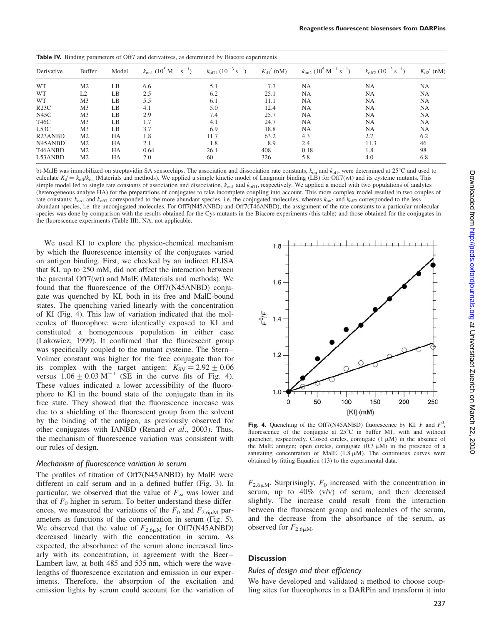| <b>Table IV.</b> Binding parameters of Off7 and derivatives, as determined by Biacore experiments |                |                |                                                                  |                                           |                            |                                                                     |                                              |               |
|---------------------------------------------------------------------------------------------------|----------------|----------------|------------------------------------------------------------------|-------------------------------------------|----------------------------|---------------------------------------------------------------------|----------------------------------------------|---------------|
| Derivative                                                                                        | <b>Buffer</b>  | Model          | $k_{\rm on1}$ (10 <sup>5</sup> M <sup>-1</sup> s <sup>-1</sup> ) | $k_{\rm off1}$ $(10^{-3} \text{ s}^{-1})$ | $K_{d1}$ <sup>'</sup> (nM) | $k_{\text{on2}}$ (10 <sup>5</sup> M <sup>-1</sup> s <sup>-1</sup> ) | $k_{\text{off2}}$ $(10^{-3} \text{ s}^{-1})$ | $K_{d2}$ (nM) |
| <b>WT</b>                                                                                         | M <sub>2</sub> | LB             | 6.6                                                              | 5.1                                       | 7.7                        | <b>NA</b>                                                           | <b>NA</b>                                    | <b>NA</b>     |
| <b>WT</b>                                                                                         | L <sub>2</sub> | LB             | 2.5                                                              | 6.2                                       | 25.1                       | <b>NA</b>                                                           | NA                                           | <b>NA</b>     |
| <b>WT</b>                                                                                         | M <sub>3</sub> | LB             | 5.5                                                              | 6.1                                       | 11.1                       | <b>NA</b>                                                           | <b>NA</b>                                    | <b>NA</b>     |
| R <sub>23C</sub>                                                                                  | M <sub>3</sub> | LB             | 4.1                                                              | 5.0                                       | 12.4                       | <b>NA</b>                                                           | <b>NA</b>                                    | <b>NA</b>     |
| N45C                                                                                              | M <sub>3</sub> | LB             | 2.9                                                              | 7.4                                       | 25.7                       | <b>NA</b>                                                           | <b>NA</b>                                    | <b>NA</b>     |
| T46C                                                                                              | M <sub>3</sub> | L <sub>B</sub> | 1.7                                                              | 4.1                                       | 24.7                       | <b>NA</b>                                                           | <b>NA</b>                                    | <b>NA</b>     |
| L53C                                                                                              | M <sub>3</sub> | LB             | 3.7                                                              | 6.9                                       | 18.8                       | <b>NA</b>                                                           | NA                                           | NA            |
| R <sub>23</sub> ANBD                                                                              | M <sub>2</sub> | HA             | 1.8                                                              | 11.7                                      | 63.2                       | 4.3                                                                 | 2.7                                          | 6.2           |
| N <sub>45</sub> AN <sub>BD</sub>                                                                  | M <sub>2</sub> | HA             | 2.1                                                              | 1.8                                       | 8.9                        | 2.4                                                                 | 11.3                                         | 46            |
| T <sub>46</sub> ANBD                                                                              | M <sub>2</sub> | HA             | 0.64                                                             | 26.1                                      | 408                        | 0.18                                                                | 1.8                                          | 98            |
| L53ANBD                                                                                           | M <sub>2</sub> | HA             | 2.0                                                              | 60                                        | 326                        | 5.8                                                                 | 4.0                                          | 6.8           |

bt-MalE was immobilized on streptavidin SA sensorchips. The association and dissociation rate constants,  $k_{\text{on}}$  and  $k_{\text{off}}$ , were determined at 25°C and used to calculate  $K_d' = k_{off}/k_{on}$  (Materials and methods). We applied a simple kinetic model of Langmuir binding (LB) for Off7(wt) and its cysteine mutants. This simple model led to single rate constants of association and dissociation,  $k_{\text{on1}}$  and  $k_{\text{off1}}$ , respectively. We applied a model with two populations of analytes (heterogeneous analyte HA) for the preparations of conjugates to take incomplete coupling into account. This more complex model resulted in two couples of rate constants:  $k_{on1}$  and  $k_{off1}$  corresponded to the more abundant species, i.e. the conjugated molecules, whereas  $k_{on2}$  and  $k_{off2}$  corresponded to the less abundant species, i.e. the unconjugated molecules. For Off7(N45ANBD) and Off7(T46ANBD), the assignment of the rate constants to a particular molecular species was done by comparison with the results obtained for the Cys mutants in the Biacore experiments (this table) and those obtained for the conjugates in the fluorescence experiments (Table III). NA, not applicable.

We used KI to explore the physico-chemical mechanism by which the fluorescence intensity of the conjugates varied on antigen binding. First, we checked by an indirect ELISA that KI, up to 250 mM, did not affect the interaction between the parental Off7(wt) and MalE (Materials and methods). We found that the fluorescence of the Off7(N45ANBD) conjugate was quenched by KI, both in its free and MalE-bound states. The quenching varied linearly with the concentration of KI (Fig. 4). This law of variation indicated that the molecules of fluorophore were identically exposed to KI and constituted a homogeneous population in either case (Lakowicz, 1999). It confirmed that the fluorescent group was specifically coupled to the mutant cysteine. The Stern– Volmer constant was higher for the free conjugate than for its complex with the target antigen:  $K_{SV} = 2.92 \pm 0.06$ versus  $1.06 + 0.03 \text{ M}^{-1}$  (SE in the curve fits of Fig. 4). These values indicated a lower accessibility of the fluorophore to KI in the bound state of the conjugate than in its free state. They showed that the fluorescence increase was due to a shielding of the fluorescent group from the solvent by the binding of the antigen, as previously observed for other conjugates with IANBD (Renard et al., 2003). Thus, the mechanism of fluorescence variation was consistent with our rules of design.

### Mechanism of fluorescence variation in serum

The profiles of titration of Off7(N45ANBD) by MalE were different in calf serum and in a defined buffer (Fig. 3). In particular, we observed that the value of  $F_{\infty}$  was lower and that of  $F_0$  higher in serum. To better understand these differences, we measured the variations of the  $F_0$  and  $F_{2.6\mu\text{M}}$  parameters as functions of the concentration in serum (Fig. 5). We observed that the value of  $F_{2.6\mu\text{M}}$  for Off7(N45ANBD) decreased linearly with the concentration in serum. As expected, the absorbance of the serum alone increased linearly with its concentration, in agreement with the Beer– Lambert law, at both 485 and 535 nm, which were the wavelengths of fluorescence excitation and emission in our experiments. Therefore, the absorption of the excitation and emission lights by serum could account for the variation of



Fig. 4. Quenching of the Off7(N45ANBD) fluorescence by KI. F and  $F^0$ , fluorescence of the conjugate at  $25^{\circ}$ C in buffer M1, with and without quencher, respectively. Closed circles, conjugate  $(1 \mu M)$  in the absence of the MalE antigen; open circles, conjugate  $(0.3 \mu M)$  in the presence of a saturating concentration of MalE  $(1.8 \mu M)$ . The continuous curves were obtained by fitting Equation (13) to the experimental data.

 $F_{2.6\mu\text{M}}$ . Surprisingly,  $F_0$  increased with the concentration in serum, up to 40% (v/v) of serum, and then decreased slightly. The increase could result from the interaction between the fluorescent group and molecules of the serum, and the decrease from the absorbance of the serum, as observed for  $F_{2.6\mu\mathrm{M}}$ .

### **Discussion**

### Rules of design and their efficiency

We have developed and validated a method to choose coupling sites for fluorophores in a DARPin and transform it into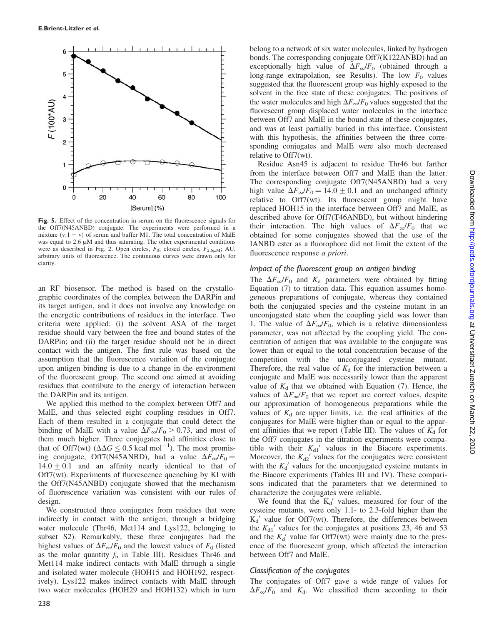

Fig. 5. Effect of the concentration in serum on the fluorescence signals for the Off7(N45ANBD) conjugate. The experiments were performed in a mixture  $(v:1 - v)$  of serum and buffer M1. The total concentration of MalE was equal to  $2.6 \mu M$  and thus saturating. The other experimental conditions were as described in Fig. 2. Open circles,  $F_0$ ; closed circles,  $F_{2.6\mu\text{M}}$ ; AU, arbitrary units of fluorescence. The continuous curves were drawn only for clarity.

an RF biosensor. The method is based on the crystallographic coordinates of the complex between the DARPin and its target antigen, and it does not involve any knowledge on the energetic contributions of residues in the interface. Two criteria were applied: (i) the solvent ASA of the target residue should vary between the free and bound states of the DARPin; and (ii) the target residue should not be in direct contact with the antigen. The first rule was based on the assumption that the fluorescence variation of the conjugate upon antigen binding is due to a change in the environment of the fluorescent group. The second one aimed at avoiding residues that contribute to the energy of interaction between the DARPin and its antigen.

We applied this method to the complex between Off7 and MalE, and thus selected eight coupling residues in Off7. Each of them resulted in a conjugate that could detect the binding of MalE with a value  $\Delta F_{\infty}/F_0 > 0.73$ , and most of them much higher. Three conjugates had affinities close to that of Off7(wt) ( $\Delta \Delta G \leq 0.5$  kcal mol<sup>-1</sup>). The most promising conjugate, Off7(N45ANBD), had a value  $\Delta F_{\infty}/F_0 =$  $14.0 \pm 0.1$  and an affinity nearly identical to that of Off7(wt). Experiments of fluorescence quenching by KI with the Off7(N45ANBD) conjugate showed that the mechanism of fluorescence variation was consistent with our rules of design.

We constructed three conjugates from residues that were indirectly in contact with the antigen, through a bridging water molecule (Thr46, Met114 and Lys122, belonging to subset S2). Remarkably, these three conjugates had the highest values of  $\Delta F_{\infty}/F_0$  and the lowest values of  $F_0$  (listed as the molar quantity  $f<sub>b</sub>$  in Table III). Residues Thr46 and Met114 make indirect contacts with MalE through a single and isolated water molecule (HOH15 and HOH192, respectively). Lys122 makes indirect contacts with MalE through two water molecules (HOH29 and HOH132) which in turn

belong to a network of six water molecules, linked by hydrogen bonds. The corresponding conjugate Off7(K122ANBD) had an exceptionally high value of  $\Delta F_{\infty}/F_0$  (obtained through a long-range extrapolation, see Results). The low  $F_0$  values suggested that the fluorescent group was highly exposed to the solvent in the free state of these conjugates. The positions of the water molecules and high  $\Delta F_{\infty}/F_0$  values suggested that the fluorescent group displaced water molecules in the interface between Off7 and MalE in the bound state of these conjugates, and was at least partially buried in this interface. Consistent with this hypothesis, the affinities between the three corresponding conjugates and MalE were also much decreased relative to Off7(wt).

Residue Asn45 is adjacent to residue Thr46 but farther from the interface between Off7 and MalE than the latter. The corresponding conjugate Off7(N45ANBD) had a very high value  $\Delta F_{\infty}/F_0 = 14.0 \pm 0.1$  and an unchanged affinity relative to Off7(wt). Its fluorescent group might have replaced HOH15 in the interface between Off7 and MalE, as described above for Off7(T46ANBD), but without hindering their interaction. The high values of  $\Delta F_{\infty}/F_0$  that we obtained for some conjugates showed that the use of the IANBD ester as a fluorophore did not limit the extent of the fluorescence response a priori.

#### Impact of the fluorescent group on antigen binding

The  $\Delta F_{\infty}/F_0$  and  $K_d$  parameters were obtained by fitting Equation (7) to titration data. This equation assumes homogeneous preparations of conjugate, whereas they contained both the conjugated species and the cysteine mutant in an unconjugated state when the coupling yield was lower than 1. The value of  $\Delta F_{\infty}/F_0$ , which is a relative dimensionless parameter, was not affected by the coupling yield. The concentration of antigen that was available to the conjugate was lower than or equal to the total concentration because of the competition with the unconjugated cysteine mutant. Therefore, the real value of  $K_d$  for the interaction between a conjugate and MalE was necessarily lower than the apparent value of  $K_d$  that we obtained with Equation (7). Hence, the values of  $\Delta F_{\infty}/F_0$  that we report are correct values, despite our approximation of homogeneous preparations while the values of  $K_d$  are upper limits, i.e. the real affinities of the conjugates for MalE were higher than or equal to the apparent affinities that we report (Table III). The values of  $K_d$  for the Off7 conjugates in the titration experiments were compatible with their  $K_{d1}$ <sup>'</sup> values in the Biacore experiments. Moreover, the  $K_{d2}$ <sup>'</sup> values for the conjugates were consistent with the  $K_d'$  values for the unconjugated cysteine mutants in the Biacore experiments (Tables III and IV). These comparisons indicated that the parameters that we determined to characterize the conjugates were reliable.

We found that the  $K_d'$  values, measured for four of the cysteine mutants, were only 1.1- to 2.3-fold higher than the  $K_d'$  value for Off7(wt). Therefore, the differences between the  $K_{d1}$ <sup>'</sup> values for the conjugates at positions 23, 46 and 53 and the  $K_d'$  value for Off7(wt) were mainly due to the presence of the fluorescent group, which affected the interaction between Off7 and MalE.

### Classification of the conjugates

The conjugates of Off7 gave a wide range of values for  $\Delta F_{\infty}/F_0$  and  $K_d$ . We classified them according to their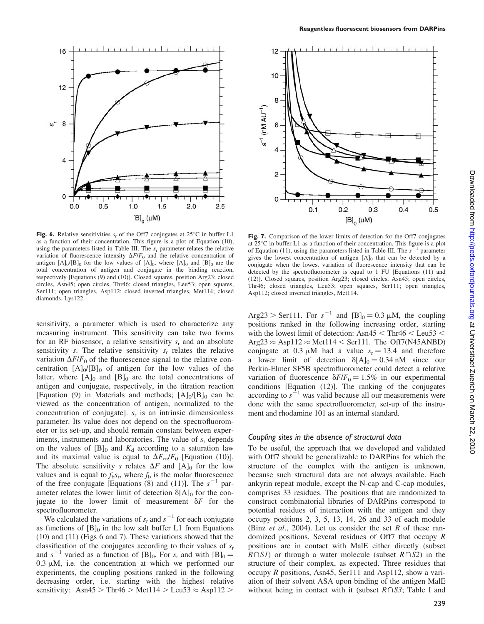

**Fig. 6.** Relative sensitivities  $s_r$  of the Off7 conjugates at 25°C in buffer L1 as a function of their concentration. This figure is a plot of Equation (10), using the parameters listed in Table III. The  $s_r$  parameter relates the relative variation of fluorescence intensity  $\Delta F/F_0$  and the relative concentration of antigen  $[A]_0/[B]_0$  for the low values of  $[A]_0$ , where  $[A]_0$  and  $[B]_0$  are the total concentration of antigen and conjugate in the binding reaction, respectively [Equations (9) and (10)]. Closed squares, position Arg23; closed circles, Asn45; open circles, Thr46; closed triangles, Leu53; open squares, Ser111; open triangles, Asp112; closed inverted triangles, Met114; closed diamonds, Lys122.

sensitivity, a parameter which is used to characterize any measuring instrument. This sensitivity can take two forms for an RF biosensor, a relative sensitivity  $s_r$  and an absolute sensitivity s. The relative sensitivity  $s_r$  relates the relative variation  $\Delta F/F_0$  of the fluorescence signal to the relative concentration  $[A]_0/[B]_0$  of antigen for the low values of the latter, where  $[A]_0$  and  $[B]_0$  are the total concentrations of antigen and conjugate, respectively, in the titration reaction [Equation (9) in Materials and methods;  $[A]<sub>0</sub>/[B]<sub>0</sub>$  can be viewed as the concentration of antigen, normalized to the concentration of conjugate].  $s_r$  is an intrinsic dimensionless parameter. Its value does not depend on the spectrofluorometer or its set-up, and should remain constant between experiments, instruments and laboratories. The value of  $s_r$  depends on the values of  $[B]_0$  and  $K_d$  according to a saturation law and its maximal value is equal to  $\Delta F_{\infty}/F_0$  [Equation (10)]. The absolute sensitivity s relates  $\Delta F$  and  $[A]_0$  for the low values and is equal to  $f_b s_r$ , where  $f_b$  is the molar fluorescence of the free conjugate [Equations  $(8)$  and  $(11)$ ]. The  $s^{-1}$  parameter relates the lower limit of detection  $\delta[A]_0$  for the conjugate to the lower limit of measurement  $\delta F$  for the spectrofluorometer.

We calculated the variations of  $s_r$  and  $s^{-1}$  for each conjugate as functions of  $[B]_0$  in the low salt buffer L1 from Equations (10) and (11) (Figs 6 and 7). These variations showed that the classification of the conjugates according to their values of  $s_r$ and  $s^{-1}$  varied as a function of [B]<sub>0</sub>. For  $s_r$  and with [B]<sub>0</sub> =  $0.3 \mu M$ , i.e. the concentration at which we performed our experiments, the coupling positions ranked in the following decreasing order, i.e. starting with the highest relative sensitivity: Asn $45 >$ Thr $46 >$ Met $114 >$ Leu $53 \approx$ Asp $112 >$ 



Fig. 7. Comparison of the lower limits of detection for the Off7 conjugates at  $25^{\circ}$ C in buffer L1 as a function of their concentration. This figure is a plot of Equation (11), using the parameters listed in Table III. The  $s^$ parameter gives the lowest concentration of antigen [A]0 that can be detected by a conjugate when the lowest variation of fluorescence intensity that can be detected by the spectrofluorometer is equal to 1 FU [Equations (11) and (12)]. Closed squares, position Arg23; closed circles, Asn45; open circles, Thr46; closed triangles, Leu53; open squares, Ser111; open triangles, Asp112; closed inverted triangles, Met114.

Arg23 > Ser111. For  $s^{-1}$  and  $[B]_0 = 0.3 \mu M$ , the coupling positions ranked in the following increasing order, starting with the lowest limit of detection:  $\text{Asn45} < \text{Thr46} < \text{Leu53} <$  $Arg23 \approx Asp112 \approx Met114 \leq Ser111$ . The Off7(N45ANBD) conjugate at 0.3  $\mu$ M had a value  $s_r = 13.4$  and therefore a lower limit of detection  $\delta[A]_0 = 0.34$  nM since our Perkin-Elmer SF5B spectrofluorometer could detect a relative variation of fluorescence  $\delta F/F_0 = 1.5\%$  in our experimental conditions [Equation (12)]. The ranking of the conjugates according to  $s^{-1}$  was valid because all our measurements were done with the same spectrofluorometer, set-up of the instrument and rhodamine 101 as an internal standard.

### Coupling sites in the absence of structural data

To be useful, the approach that we developed and validated with Off7 should be generalizable to DARPins for which the structure of the complex with the antigen is unknown, because such structural data are not always available. Each ankyrin repeat module, except the N-cap and C-cap modules, comprises 33 residues. The positions that are randomized to construct combinatorial libraries of DARPins correspond to potential residues of interaction with the antigen and they occupy positions 2, 3, 5, 13, 14, 26 and 33 of each module (Binz *et al.*, 2004). Let us consider the set R of these randomized positions. Several residues of Off7 that occupy R positions are in contact with MalE either directly (subset  $R\cap SI$ ) or through a water molecule (subset  $R\cap SI$ ) in the structure of their complex, as expected. Three residues that occupy R positions, Asn45, Ser111 and Asp112, show a variation of their solvent ASA upon binding of the antigen MalE without being in contact with it (subset  $R \cap S3$ ; Table I and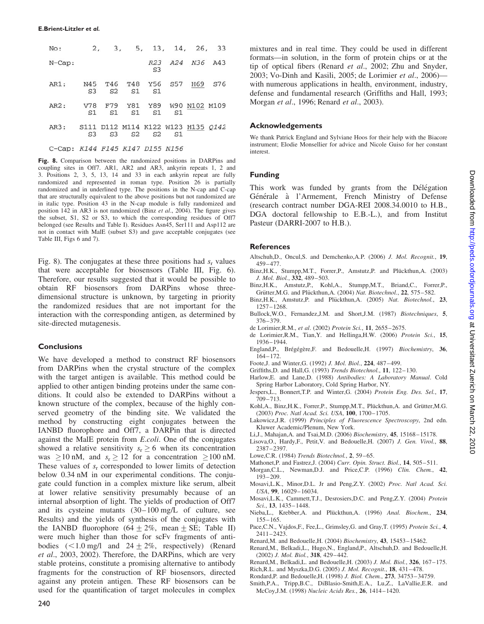| No:                             | 2,             |                |                |                | 3, 5, 13, 14, 26, 33                                 |     |
|---------------------------------|----------------|----------------|----------------|----------------|------------------------------------------------------|-----|
| $N$ -Cap:                       |                |                |                | S <sub>3</sub> | R23 A24 N36 A43                                      |     |
| AR1:                            | S <sub>3</sub> | S <sub>2</sub> | S <sub>1</sub> | S1             | N45 T46 T48 Y56 S57 H69                              | S76 |
| AR2:                            | V78<br>S1      | S1             | S1             | S1             | F79 Y81 Y89 W90 N102 M109<br>S <sub>1</sub>          |     |
| AR3:                            | S <sub>3</sub> | S <sub>3</sub> | S <sub>2</sub> | S2             | S111 D112 M114 K122 W123 H135 0142<br>S <sub>1</sub> |     |
| C-Cap: K144 F145 K147 D155 N156 |                |                |                |                |                                                      |     |

Fig. 8. Comparison between the randomized positions in DARPins and coupling sites in Off7. AR1, AR2 and AR3, ankyrin repeats 1, 2 and 3. Positions 2, 3, 5, 13, 14 and 33 in each ankyrin repeat are fully randomized and represented in roman type. Position 26 is partially randomized and in underlined type. The positions in the N-cap and C-cap that are structurally equivalent to the above positions but not randomized are in italic type. Position 43 in the N-cap module is fully randomized and position 142 in AR3 is not randomized (Binz et al., 2004). The figure gives the subset, S1, S2 or S3, to which the corresponding residues of Off7 belonged (see Results and Table I). Residues Asn45, Ser111 and Asp112 are not in contact with MalE (subset S3) and gave acceptable conjugates (see Table III, Figs 6 and 7).

Fig. 8). The conjugates at these three positions had  $s_r$  values that were acceptable for biosensors (Table III, Fig. 6). Therefore, our results suggested that it would be possible to obtain RF biosensors from DARPins whose threedimensional structure is unknown, by targeting in priority the randomized residues that are not important for the interaction with the corresponding antigen, as determined by site-directed mutagenesis.

#### **Conclusions**

We have developed a method to construct RF biosensors from DARPins when the crystal structure of the complex with the target antigen is available. This method could be applied to other antigen binding proteins under the same conditions. It could also be extended to DARPins without a known structure of the complex, because of the highly conserved geometry of the binding site. We validated the method by constructing eight conjugates between the IANBD fluorophore and Off7, a DARPin that is directed against the MalE protein from E.coli. One of the conjugates showed a relative sensitivity  $s_r \geq 6$  when its concentration was  $> 10$  nM, and  $s_r > 12$  for a concentration  $> 100$  nM. These values of  $s_r$  corresponded to lower limits of detection below 0.34 nM in our experimental conditions. The conjugate could function in a complex mixture like serum, albeit at lower relative sensitivity presumably because of an internal absorption of light. The yields of production of Off7 and its cysteine mutants (30–100 mg/L of culture, see Results) and the yields of synthesis of the conjugates with the IANBD fluorophore (64  $\pm$  2%, mean  $\pm$  SE; Table II) were much higher than those for scFv fragments of antibodies  $(<1.0 \text{ mg/l}$  and  $24 \pm 2\%$ , respectively) (Renard et al., 2003, 2002). Therefore, the DARPins, which are very stable proteins, constitute a promising alternative to antibody fragments for the construction of RF biosensors, directed against any protein antigen. These RF biosensors can be used for the quantification of target molecules in complex

mixtures and in real time. They could be used in different formats—in solution, in the form of protein chips or at the tip of optical fibers (Renard et al., 2002; Zhu and Snyder, 2003; Vo-Dinh and Kasili, 2005; de Lorimier et al., 2006) with numerous applications in health, environment, industry, defense and fundamental research (Griffiths and Hall, 1993; Morgan et al., 1996; Renard et al., 2003).

### Acknowledgements

We thank Patrick England and Sylviane Hoos for their help with the Biacore instrument; Elodie Monsellier for advice and Nicole Guiso for her constant interest.

### Funding

This work was funded by grants from the Délégation Générale à l'Armement, French Ministry of Defense (research contract number DGA-REI 2008.34.0010 to H.B., DGA doctoral fellowship to E.B.-L.), and from Institut Pasteur (DARRI-2007 to H.B.).

### **References**

- Altschuh, D., Oncul, S. and Demchenko, A.P. (2006) J. Mol. Recognit., 19, 459–477.
- Binz, H.K., Stumpp, M.T., Forrer, P., Amstutz, P. and Plückthun, A. (2003) J. Mol. Biol., 332, 489–503.
- Binz,H.K., Amstutz,P., Kohl,A., Stumpp,M.T., Briand,C., Forrer,P., Grütter, M.G. and Plückthun, A. (2004) Nat. Biotechnol., 22, 575–582.
- Binz, H.K., Amstutz, P. and Plückthun, A. (2005) Nat. Biotechnol., 23, 1257–1268.
- Bullock,W.O., Fernandez,J.M. and Short,J.M. (1987) Biotechniques, 5, 376–379.
- de Lorimier,R.M., et al. (2002) Protein Sci., 11, 2655–2675.
- de Lorimier,R.M., Tian,Y. and Hellinga,H.W. (2006) Protein Sci., 15, 1936–1944.
- England,P., Brégégère,F. and Bedouelle,H. (1997) Biochemistry, 36, 164–172.
- Foote,J. and Winter,G. (1992) J. Mol. Biol., 224, 487–499.
- Griffiths,D. and Hall,G. (1993) Trends Biotechnol., 11, 122–130. Harlow,E. and Lane,D. (1988) Antibodies: A Laboratory Manual. Cold
- Spring Harbor Laboratory, Cold Spring Harbor, NY. Jespers,L., Bonnert,T.P. and Winter,G. (2004) Protein Eng. Des. Sel., 17,
- 709–713. Kohl,A., Binz,H.K., Forrer,P., Stumpp,M.T., Plückthun,A. and Grütter,M.G.
- (2003) Proc. Natl Acad. Sci. USA, 100, 1700–1705.
- Lakowicz,J.R. (1999) Principles of Fluorescence Spectroscopy, 2nd edn. Kluwer Academic/Plenum, New York.
- Li,J., Mahajan,A. and Tsai,M.D. (2006) Biochemistry, 45, 15168–15178.
- Lisova,O., Hardy,F., Petit,V. and Bedouelle,H. (2007) J. Gen. Virol., 88, 2387–2397.
- Lowe,C.R. (1984) Trends Biotechnol., 2, 59–65.
- Mathonet, P. and Fastrez, J. (2004) Curr. Opin. Struct. Biol., 14, 505-511. Morgan, C.L., Newman, D.J. and Price, C.P. (1996) Clin. Chem., 42, 193–209.
- Mosavi,L.K., Minor,D.L. Jr and Peng,Z.Y. (2002) Proc. Natl Acad. Sci. USA, 99, 16029–16034.
- Mosavi,L.K., Cammett,T.J., Desrosiers,D.C. and Peng,Z.Y. (2004) Protein Sci., 13, 1435–1448.
- Nieba, L., Krebber, A. and Plückthun, A. (1996) Anal. Biochem., 234, 155–165.
- Pace, C.N., Vajdos, F., Fee, L., Grimsley, G. and Gray, T. (1995) Protein Sci., 4, 2411–2423.
- Renard,M. and Bedouelle,H. (2004) Biochemistry, 43, 15453–15462.
- Renard,M., Belkadi,L., Hugo,N., England,P., Altschuh,D. and Bedouelle,H. (2002) J. Mol. Biol., 318, 429–442.

Renard,M., Belkadi,L. and Bedouelle,H. (2003) J. Mol. Biol., 326, 167–175.

- Rich,R.L. and Myszka,D.G. (2005) J. Mol. Recognit., 18, 431–478.
- Rondard,P. and Bedouelle,H. (1998) J. Biol. Chem., 273, 34753–34759.
- Smith,P.A., Tripp,B.C., DiBlasio-Smith,E.A., Lu,Z., LaVallie,E.R. and McCoy,J.M. (1998) Nucleic Acids Res., 26, 1414–1420.